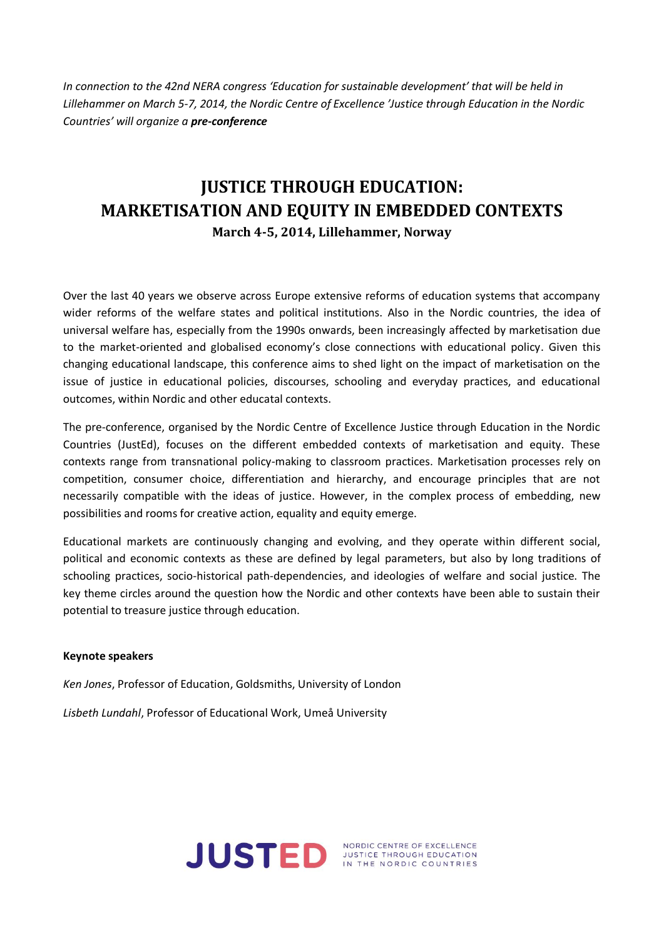*In connection to the 42nd NERA congress 'Education for sustainable development' that will be held in Lillehammer on March 5-7, 2014, the Nordic Centre of Excellence 'Justice through Education in the Nordic Countries' will organize a pre-conference*

# **JUSTICE THROUGH EDUCATION: MARKETISATION AND EQUITY IN EMBEDDED CONTEXTS March 4-5, 2014, Lillehammer, Norway**

Over the last 40 years we observe across Europe extensive reforms of education systems that accompany wider reforms of the welfare states and political institutions. Also in the Nordic countries, the idea of universal welfare has, especially from the 1990s onwards, been increasingly affected by marketisation due to the market-oriented and globalised economy's close connections with educational policy. Given this changing educational landscape, this conference aims to shed light on the impact of marketisation on the issue of justice in educational policies, discourses, schooling and everyday practices, and educational outcomes, within Nordic and other educatal contexts.

The pre-conference, organised by the Nordic Centre of Excellence Justice through Education in the Nordic Countries (JustEd), focuses on the different embedded contexts of marketisation and equity. These contexts range from transnational policy-making to classroom practices. Marketisation processes rely on competition, consumer choice, differentiation and hierarchy, and encourage principles that are not necessarily compatible with the ideas of justice. However, in the complex process of embedding, new possibilities and rooms for creative action, equality and equity emerge.

Educational markets are continuously changing and evolving, and they operate within different social, political and economic contexts as these are defined by legal parameters, but also by long traditions of schooling practices, socio-historical path-dependencies, and ideologies of welfare and social justice. The key theme circles around the question how the Nordic and other contexts have been able to sustain their potential to treasure justice through education.

## **Keynote speakers**

*Ken Jones*, Professor of Education, Goldsmiths, University of London

*Lisbeth Lundahl*, Professor of Educational Work, Umeå University

# JUSTED **INSTED** IN THE NORDIC COUNTRIES